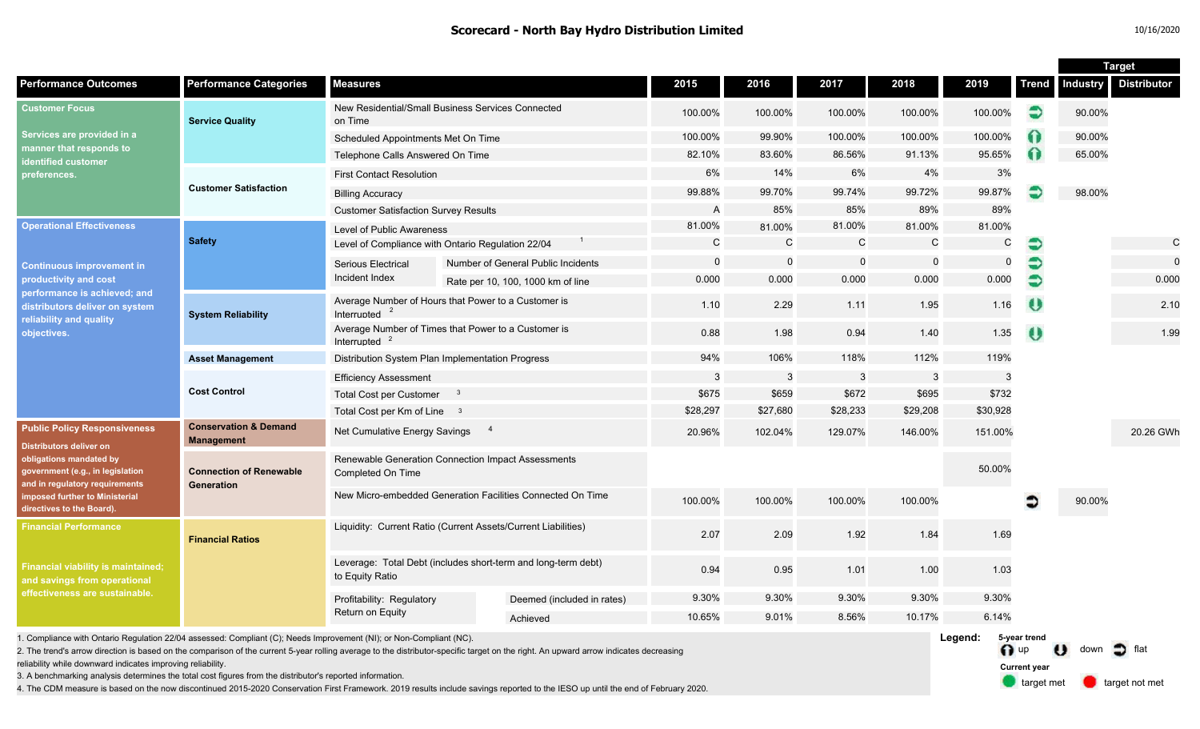| 10/16/2020 |
|------------|
|------------|

target met **target not met** 

**Current year**

|                                                                                                                                                                                                                                       |                                                       |                                                                                  |                                                                                                                                                                                       |          |              |              |          |                         | <b>Target</b> |                 |                    |
|---------------------------------------------------------------------------------------------------------------------------------------------------------------------------------------------------------------------------------------|-------------------------------------------------------|----------------------------------------------------------------------------------|---------------------------------------------------------------------------------------------------------------------------------------------------------------------------------------|----------|--------------|--------------|----------|-------------------------|---------------|-----------------|--------------------|
| <b>Performance Outcomes</b>                                                                                                                                                                                                           | <b>Performance Categories</b>                         | <b>Measures</b>                                                                  |                                                                                                                                                                                       | 2015     | 2016         | 2017         | 2018     | 2019                    | <b>Trend</b>  | <b>Industry</b> | <b>Distributor</b> |
| <b>Customer Focus</b><br>Services are provided in a<br>manner that respond <u>s to</u><br>dentified customer<br>preferences.                                                                                                          | <b>Service Quality</b>                                | New Residential/Small Business Services Connected<br>on Time                     |                                                                                                                                                                                       | 100.00%  | 100.00%      | 100.00%      | 100.00%  | 100.00%                 | €             | 90.00%          |                    |
|                                                                                                                                                                                                                                       |                                                       | Scheduled Appointments Met On Time                                               |                                                                                                                                                                                       | 100.00%  | 99.90%       | 100.00%      | 100.00%  | 100.00%                 | Ω             | 90.00%          |                    |
|                                                                                                                                                                                                                                       |                                                       | Telephone Calls Answered On Time                                                 |                                                                                                                                                                                       | 82.10%   | 83.60%       | 86.56%       | 91.13%   | 95.65%                  | Ω             | 65.00%          |                    |
|                                                                                                                                                                                                                                       | <b>Customer Satisfaction</b>                          | <b>First Contact Resolution</b>                                                  |                                                                                                                                                                                       | 6%       | 14%          | 6%           | 4%       | 3%                      |               |                 |                    |
|                                                                                                                                                                                                                                       |                                                       | <b>Billing Accuracy</b>                                                          |                                                                                                                                                                                       | 99.88%   | 99.70%       | 99.74%       | 99.72%   | 99.87%                  |               | 98.00%          |                    |
|                                                                                                                                                                                                                                       |                                                       | <b>Customer Satisfaction Survey Results</b>                                      |                                                                                                                                                                                       | A        | 85%          | 85%          | 89%      | 89%                     |               |                 |                    |
| <b>Operational Effectiveness</b><br><b>Continuous improvement in</b><br>productivity and cost<br>performance is achieved; and<br>distributors deliver on system<br>reliability and quality<br>objectives.                             | <b>Safety</b>                                         | Level of Public Awareness                                                        |                                                                                                                                                                                       | 81.00%   | 81.00%       | 81.00%       | 81.00%   | 81.00%                  |               |                 |                    |
|                                                                                                                                                                                                                                       |                                                       | Level of Compliance with Ontario Regulation 22/04                                |                                                                                                                                                                                       | C        | $\mathsf{C}$ | $\mathsf{C}$ | C        | C                       | €             |                 | $\mathsf{C}$       |
|                                                                                                                                                                                                                                       |                                                       | <b>Serious Electrical</b><br>Incident Index                                      | Number of General Public Incidents                                                                                                                                                    | $\Omega$ | $\mathbf 0$  | $\mathbf 0$  | $\Omega$ | 0                       | €             |                 | $\mathbf 0$        |
|                                                                                                                                                                                                                                       |                                                       |                                                                                  | Rate per 10, 100, 1000 km of line                                                                                                                                                     | 0.000    | 0.000        | 0.000        | 0.000    | 0.000                   | €             |                 | 0.000              |
|                                                                                                                                                                                                                                       | <b>System Reliability</b>                             | Interrupted<br>$\overline{2}$                                                    | Average Number of Hours that Power to a Customer is                                                                                                                                   | 1.10     | 2.29         | 1.11         | 1.95     | 1.16                    | $\bullet$     |                 | 2.10               |
|                                                                                                                                                                                                                                       |                                                       | Average Number of Times that Power to a Customer is<br>Interrupted $2$           |                                                                                                                                                                                       | 0.88     | 1.98         | 0.94         | 1.40     | 1.35                    | $\bullet$     |                 | 1.99               |
|                                                                                                                                                                                                                                       | <b>Asset Management</b>                               | Distribution System Plan Implementation Progress                                 | 94%                                                                                                                                                                                   | 106%     | 118%         | 112%         | 119%     |                         |               |                 |                    |
|                                                                                                                                                                                                                                       | <b>Cost Control</b>                                   | <b>Efficiency Assessment</b>                                                     | $\mathbf{3}$                                                                                                                                                                          | 3        | $\mathbf{3}$ | 3            | 3        |                         |               |                 |                    |
|                                                                                                                                                                                                                                       |                                                       | <b>Total Cost per Customer</b><br>$\overline{\mathbf{3}}$                        |                                                                                                                                                                                       | \$675    | \$659        | \$672        | \$695    | \$732                   |               |                 |                    |
|                                                                                                                                                                                                                                       |                                                       | Total Cost per Km of Line 3                                                      | \$28,297                                                                                                                                                                              | \$27,680 | \$28,233     | \$29,208     | \$30,928 |                         |               |                 |                    |
| <b>Public Policy Responsiveness</b><br><b>Distributors deliver on</b><br>obligations mandated by<br>government (e.g., in legislation<br>and in regulatory requirements<br>imposed further to Ministerial<br>directives to the Board). | <b>Conservation &amp; Demand</b><br><b>Management</b> | Net Cumulative Energy Savings                                                    | 20.96%                                                                                                                                                                                | 102.04%  | 129.07%      | 146.00%      | 151.00%  |                         |               | 20.26 GWh       |                    |
|                                                                                                                                                                                                                                       | <b>Connection of Renewable</b><br>Generation          | Renewable Generation Connection Impact Assessments<br>Completed On Time          |                                                                                                                                                                                       |          |              |              |          | 50.00%                  |               |                 |                    |
|                                                                                                                                                                                                                                       |                                                       | New Micro-embedded Generation Facilities Connected On Time                       |                                                                                                                                                                                       | 100.00%  | 100.00%      | 100.00%      | 100.00%  |                         | ∍             | 90.00%          |                    |
| <b>Financial Performance</b><br>Financial viability is maintained;<br>and savings from operational<br>effectiveness are sustainable.                                                                                                  | <b>Financial Ratios</b>                               | Liquidity: Current Ratio (Current Assets/Current Liabilities)                    |                                                                                                                                                                                       | 2.07     | 2.09         | 1.92         | 1.84     | 1.69                    |               |                 |                    |
|                                                                                                                                                                                                                                       |                                                       | Leverage: Total Debt (includes short-term and long-term debt)<br>to Equity Ratio |                                                                                                                                                                                       | 0.94     | 0.95         | 1.01         | 1.00     | 1.03                    |               |                 |                    |
|                                                                                                                                                                                                                                       |                                                       | Profitability: Regulatory<br>Return on Equity                                    | Deemed (included in rates)                                                                                                                                                            | 9.30%    | 9.30%        | 9.30%        | 9.30%    | 9.30%                   |               |                 |                    |
|                                                                                                                                                                                                                                       |                                                       |                                                                                  | Achieved                                                                                                                                                                              | 10.65%   | 9.01%        | 8.56%        | 10.17%   | 6.14%                   |               |                 |                    |
| 1. Compliance with Ontario Regulation 22/04 assessed: Compliant (C); Needs Improvement (NI); or Non-Compliant (NC).                                                                                                                   |                                                       |                                                                                  | 2. The trend's arrow direction is based on the comparison of the current 5-year rolling average to the distributor-specific target on the right. An upward arrow indicates decreasing |          |              |              |          | Legend:<br>$\bigcap$ up | 5-year trend  | down            | Ð                  |

reliability while downward indicates improving reliability.

3. A benchmarking analysis determines the total cost figures from the distributor's reported information.

4. The CDM measure is based on the now discontinued 2015-2020 Conservation First Framework. 2019 results include savings reported to the IESO up until the end of February 2020.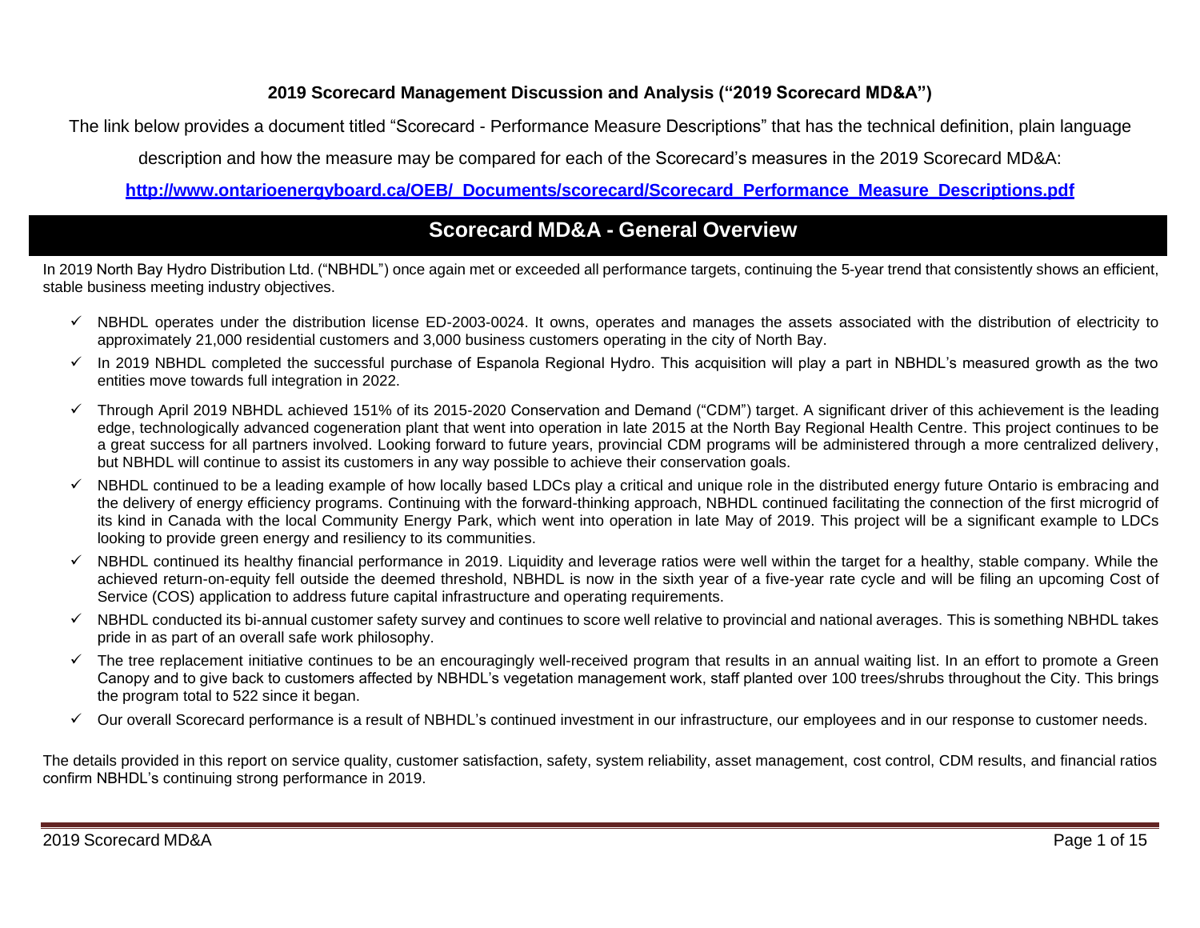## **2019 Scorecard Management Discussion and Analysis ("2019 Scorecard MD&A")**

The link below provides a document titled "Scorecard - Performance Measure Descriptions" that has the technical definition, plain language

description and how the measure may be compared for each of the Scorecard's measures in the 2019 Scorecard MD&A:

**[http://www.ontarioenergyboard.ca/OEB/\\_Documents/scorecard/Scorecard\\_Performance\\_Measure\\_Descriptions.pdf](http://www.ontarioenergyboard.ca/OEB/_Documents/scorecard/Scorecard_Performance_Measure_Descriptions.pdf)**

# **Scorecard MD&A - General Overview**

In 2019 North Bay Hydro Distribution Ltd. ("NBHDL") once again met or exceeded all performance targets, continuing the 5-year trend that consistently shows an efficient, stable business meeting industry objectives.

- ✓ NBHDL operates under the distribution license ED-2003-0024. It owns, operates and manages the assets associated with the distribution of electricity to approximately 21,000 residential customers and 3,000 business customers operating in the city of North Bay.
- $\checkmark$  In 2019 NBHDL completed the successful purchase of Espanola Regional Hydro. This acquisition will play a part in NBHDL's measured growth as the two entities move towards full integration in 2022.
- ✓ Through April 2019 NBHDL achieved 151% of its 2015-2020 Conservation and Demand ("CDM") target. A significant driver of this achievement is the leading edge, technologically advanced cogeneration plant that went into operation in late 2015 at the North Bay Regional Health Centre. This project continues to be a great success for all partners involved. Looking forward to future years, provincial CDM programs will be administered through a more centralized delivery, but NBHDL will continue to assist its customers in any way possible to achieve their conservation goals.
- $\checkmark$  NBHDL continued to be a leading example of how locally based LDCs play a critical and unique role in the distributed energy future Ontario is embracing and the delivery of energy efficiency programs. Continuing with the forward-thinking approach, NBHDL continued facilitating the connection of the first microgrid of its kind in Canada with the local Community Energy Park, which went into operation in late May of 2019. This project will be a significant example to LDCs looking to provide green energy and resiliency to its communities.
- $\checkmark$  NBHDL continued its healthy financial performance in 2019. Liquidity and leverage ratios were well within the target for a healthy, stable company. While the achieved return-on-equity fell outside the deemed threshold, NBHDL is now in the sixth year of a five-year rate cycle and will be filing an upcoming Cost of Service (COS) application to address future capital infrastructure and operating requirements.
- ✓ NBHDL conducted its bi-annual customer safety survey and continues to score well relative to provincial and national averages. This is something NBHDL takes pride in as part of an overall safe work philosophy.
- ✓ The tree replacement initiative continues to be an encouragingly well-received program that results in an annual waiting list. In an effort to promote a Green Canopy and to give back to customers affected by NBHDL's vegetation management work, staff planted over 100 trees/shrubs throughout the City. This brings the program total to 522 since it began.
- ✓ Our overall Scorecard performance is a result of NBHDL's continued investment in our infrastructure, our employees and in our response to customer needs.

The details provided in this report on service quality, customer satisfaction, safety, system reliability, asset management, cost control, CDM results, and financial ratios confirm NBHDL's continuing strong performance in 2019.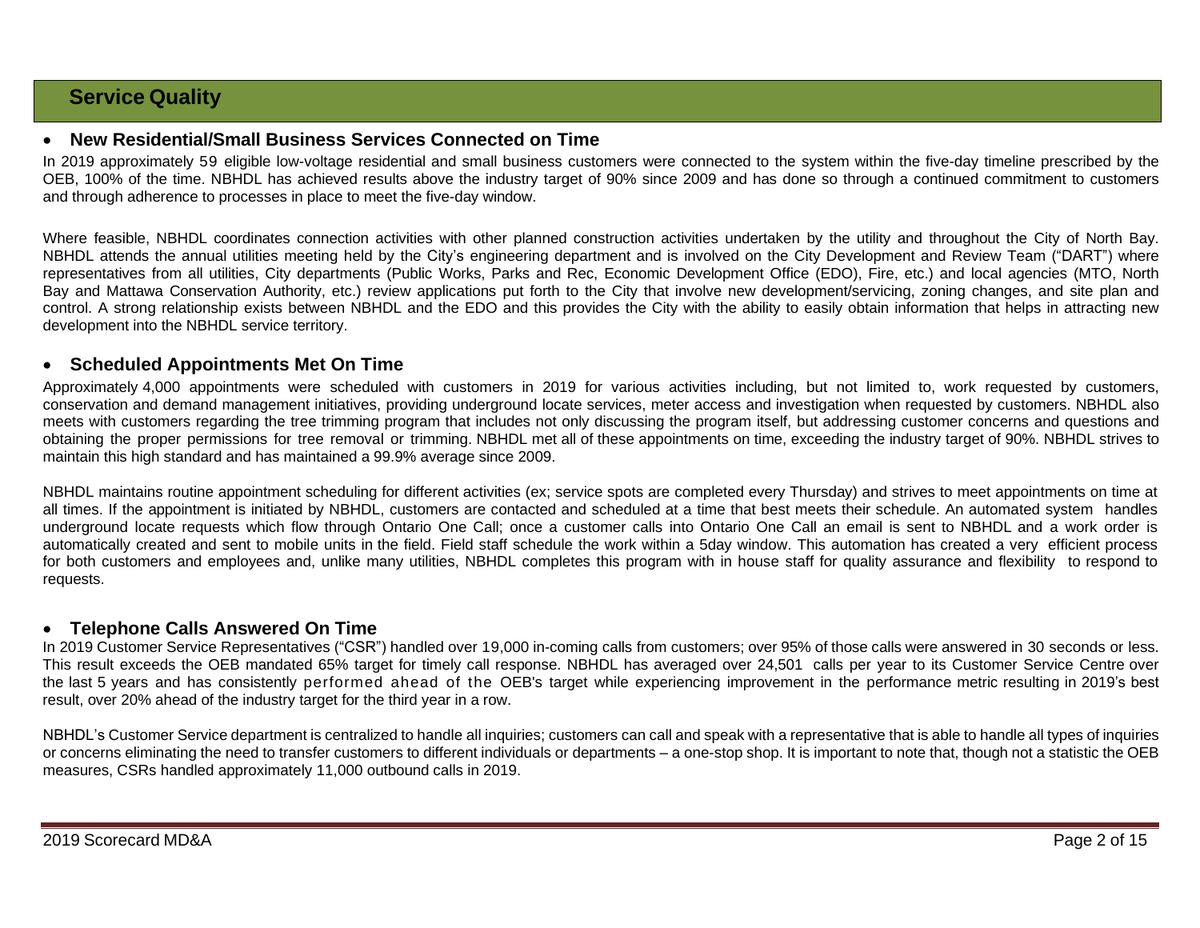# **Service Quality**

#### • **New Residential/Small Business Services Connected on Time**

In 2019 approximately 59 eligible low-voltage residential and small business customers were connected to the system within the five-day timeline prescribed by the OEB, 100% of the time. NBHDL has achieved results above the industry target of 90% since 2009 and has done so through a continued commitment to customers and through adherence to processes in place to meet the five-day window.

Where feasible, NBHDL coordinates connection activities with other planned construction activities undertaken by the utility and throughout the City of North Bay. NBHDL attends the annual utilities meeting held by the City's engineering department and is involved on the City Development and Review Team ("DART") where representatives from all utilities, City departments (Public Works, Parks and Rec, Economic Development Office (EDO), Fire, etc.) and local agencies (MTO, North Bay and Mattawa Conservation Authority, etc.) review applications put forth to the City that involve new development/servicing, zoning changes, and site plan and control. A strong relationship exists between NBHDL and the EDO and this provides the City with the ability to easily obtain information that helps in attracting new development into the NBHDL service territory.

#### • **Scheduled Appointments Met On Time**

Approximately 4,000 appointments were scheduled with customers in 2019 for various activities including, but not limited to, work requested by customers, conservation and demand management initiatives, providing underground locate services, meter access and investigation when requested by customers. NBHDL also meets with customers regarding the tree trimming program that includes not only discussing the program itself, but addressing customer concerns and questions and obtaining the proper permissions for tree removal or trimming. NBHDL met all of these appointments on time, exceeding the industry target of 90%. NBHDL strives to maintain this high standard and has maintained a 99.9% average since 2009.

NBHDL maintains routine appointment scheduling for different activities (ex; service spots are completed every Thursday) and strives to meet appointments on time at all times. If the appointment is initiated by NBHDL, customers are contacted and scheduled at a time that best meets their schedule. An automated system handles underground locate requests which flow through Ontario One Call; once a customer calls into Ontario One Call an email is sent to NBHDL and a work order is automatically created and sent to mobile units in the field. Field staff schedule the work within a 5day window. This automation has created a very efficient process for both customers and employees and, unlike many utilities, NBHDL completes this program with in house staff for quality assurance and flexibility to respond to requests.

### • **Telephone Calls Answered On Time**

In 2019 Customer Service Representatives ("CSR") handled over 19,000 in-coming calls from customers; over 95% of those calls were answered in 30 seconds or less. This result exceeds the OEB mandated 65% target for timely call response. NBHDL has averaged over 24,501 calls per year to its Customer Service Centre over the last 5 years and has consistently performed ahead of the OEB's target while experiencing improvement in the performance metric resulting in 2019's best result, over 20% ahead of the industry target for the third year in a row.

NBHDL's Customer Service department is centralized to handle all inquiries; customers can call and speak with a representative that is able to handle all types of inquiries or concerns eliminating the need to transfer customers to different individuals or departments – a one-stop shop. It is important to note that, though not a statistic the OEB measures, CSRs handled approximately 11,000 outbound calls in 2019.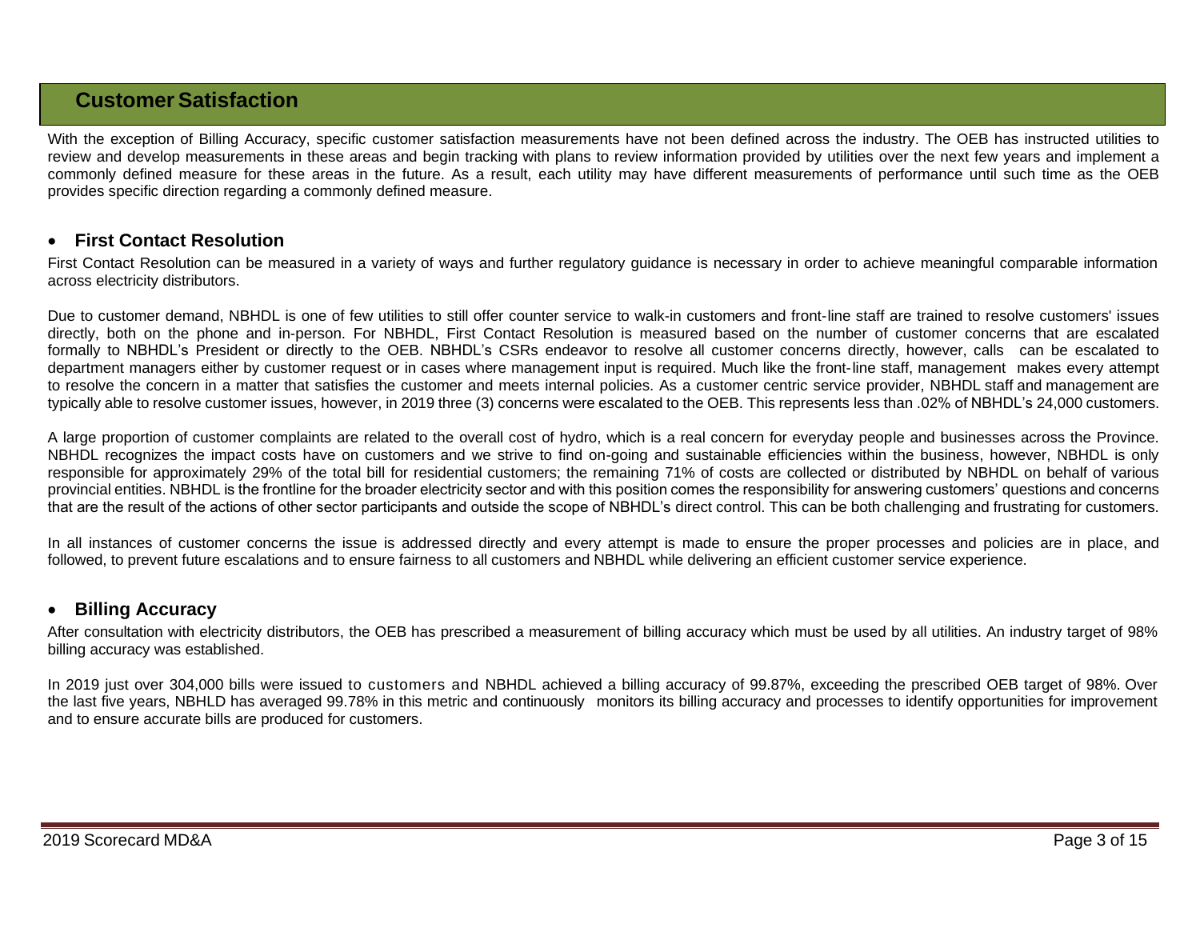# **Customer Satisfaction**

With the exception of Billing Accuracy, specific customer satisfaction measurements have not been defined across the industry. The OEB has instructed utilities to review and develop measurements in these areas and begin tracking with plans to review information provided by utilities over the next few years and implement a commonly defined measure for these areas in the future. As a result, each utility may have different measurements of performance until such time as the OEB provides specific direction regarding a commonly defined measure.

### • **First Contact Resolution**

First Contact Resolution can be measured in a variety of ways and further regulatory guidance is necessary in order to achieve meaningful comparable information across electricity distributors.

Due to customer demand, NBHDL is one of few utilities to still offer counter service to walk-in customers and front-line staff are trained to resolve customers' issues directly, both on the phone and in-person. For NBHDL, First Contact Resolution is measured based on the number of customer concerns that are escalated formally to NBHDL's President or directly to the OEB. NBHDL's CSRs endeavor to resolve all customer concerns directly, however, calls can be escalated to department managers either by customer request or in cases where management input is required. Much like the front-line staff, management makes every attempt to resolve the concern in a matter that satisfies the customer and meets internal policies. As a customer centric service provider, NBHDL staff and management are typically able to resolve customer issues, however, in 2019 three (3) concerns were escalated to the OEB. This represents less than .02% of NBHDL's 24,000 customers.

A large proportion of customer complaints are related to the overall cost of hydro, which is a real concern for everyday people and businesses across the Province. NBHDL recognizes the impact costs have on customers and we strive to find on-going and sustainable efficiencies within the business, however, NBHDL is only responsible for approximately 29% of the total bill for residential customers; the remaining 71% of costs are collected or distributed by NBHDL on behalf of various provincial entities. NBHDL is the frontline for the broader electricity sector and with this position comes the responsibility for answering customers' questions and concerns that are the result of the actions of other sector participants and outside the scope of NBHDL's direct control. This can be both challenging and frustrating for customers.

In all instances of customer concerns the issue is addressed directly and every attempt is made to ensure the proper processes and policies are in place, and followed, to prevent future escalations and to ensure fairness to all customers and NBHDL while delivering an efficient customer service experience.

### • **Billing Accuracy**

After consultation with electricity distributors, the OEB has prescribed a measurement of billing accuracy which must be used by all utilities. An industry target of 98% billing accuracy was established.

In 2019 just over 304,000 bills were issued to customers and NBHDL achieved a billing accuracy of 99.87%, exceeding the prescribed OEB target of 98%. Over the last five years, NBHLD has averaged 99.78% in this metric and continuously monitors its billing accuracy and processes to identify opportunities for improvement and to ensure accurate bills are produced for customers.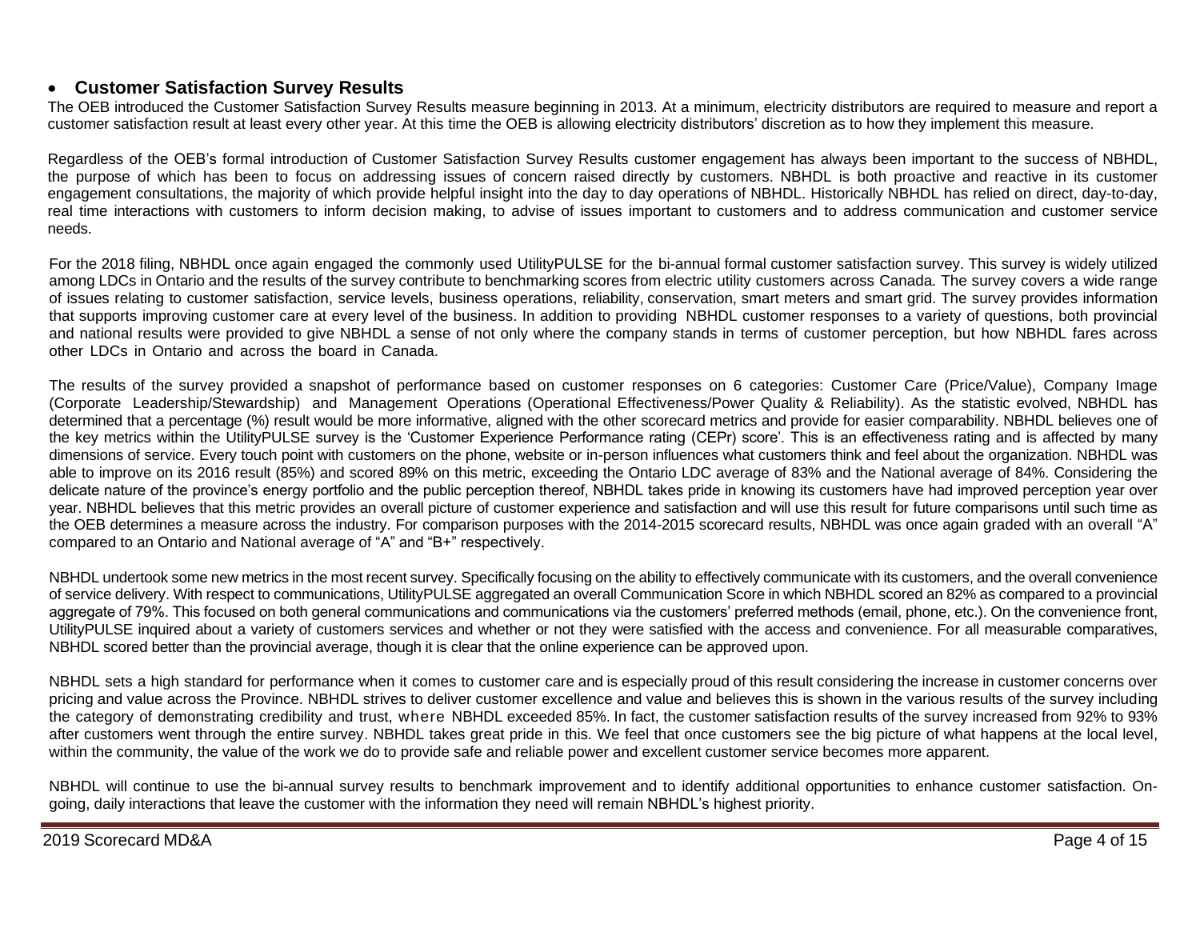## • **Customer Satisfaction Survey Results**

The OEB introduced the Customer Satisfaction Survey Results measure beginning in 2013. At a minimum, electricity distributors are required to measure and report a customer satisfaction result at least every other year. At this time the OEB is allowing electricity distributors' discretion as to how they implement this measure.

Regardless of the OEB's formal introduction of Customer Satisfaction Survey Results customer engagement has always been important to the success of NBHDL, the purpose of which has been to focus on addressing issues of concern raised directly by customers. NBHDL is both proactive and reactive in its customer engagement consultations, the majority of which provide helpful insight into the day to day operations of NBHDL. Historically NBHDL has relied on direct, day-to-day, real time interactions with customers to inform decision making, to advise of issues important to customers and to address communication and customer service needs.

For the 2018 filing, NBHDL once again engaged the commonly used UtilityPULSE for the bi-annual formal customer satisfaction survey. This survey is widely utilized among LDCs in Ontario and the results of the survey contribute to benchmarking scores from electric utility customers across Canada. The survey covers a wide range of issues relating to customer satisfaction, service levels, business operations, reliability, conservation, smart meters and smart grid. The survey provides information that supports improving customer care at every level of the business. In addition to providing NBHDL customer responses to a variety of questions, both provincial and national results were provided to give NBHDL a sense of not only where the company stands in terms of customer perception, but how NBHDL fares across other LDCs in Ontario and across the board in Canada.

The results of the survey provided a snapshot of performance based on customer responses on 6 categories: Customer Care (Price/Value), Company Image (Corporate Leadership/Stewardship) and Management Operations (Operational Effectiveness/Power Quality & Reliability). As the statistic evolved, NBHDL has determined that a percentage (%) result would be more informative, aligned with the other scorecard metrics and provide for easier comparability. NBHDL believes one of the key metrics within the UtilityPULSE survey is the 'Customer Experience Performance rating (CEPr) score'. This is an effectiveness rating and is affected by many dimensions of service. Every touch point with customers on the phone, website or in-person influences what customers think and feel about the organization. NBHDL was able to improve on its 2016 result (85%) and scored 89% on this metric, exceeding the Ontario LDC average of 83% and the National average of 84%. Considering the delicate nature of the province's energy portfolio and the public perception thereof, NBHDL takes pride in knowing its customers have had improved perception year over year. NBHDL believes that this metric provides an overall picture of customer experience and satisfaction and will use this result for future comparisons until such time as the OEB determines a measure across the industry. For comparison purposes with the 2014-2015 scorecard results, NBHDL was once again graded with an overall "A" compared to an Ontario and National average of "A" and "B+" respectively.

NBHDL undertook some new metrics in the most recent survey. Specifically focusing on the ability to effectively communicate with its customers, and the overall convenience of service delivery. With respect to communications, UtilityPULSE aggregated an overall Communication Score in which NBHDL scored an 82% as compared to a provincial aggregate of 79%. This focused on both general communications and communications via the customers' preferred methods (email, phone, etc.). On the convenience front, UtilityPULSE inquired about a variety of customers services and whether or not they were satisfied with the access and convenience. For all measurable comparatives, NBHDL scored better than the provincial average, though it is clear that the online experience can be approved upon.

NBHDL sets a high standard for performance when it comes to customer care and is especially proud of this result considering the increase in customer concerns over pricing and value across the Province. NBHDL strives to deliver customer excellence and value and believes this is shown in the various results of the survey including the category of demonstrating credibility and trust, where NBHDL exceeded 85%. In fact, the customer satisfaction results of the survey increased from 92% to 93% after customers went through the entire survey. NBHDL takes great pride in this. We feel that once customers see the big picture of what happens at the local level, within the community, the value of the work we do to provide safe and reliable power and excellent customer service becomes more apparent.

NBHDL will continue to use the bi-annual survey results to benchmark improvement and to identify additional opportunities to enhance customer satisfaction. Ongoing, daily interactions that leave the customer with the information they need will remain NBHDL's highest priority.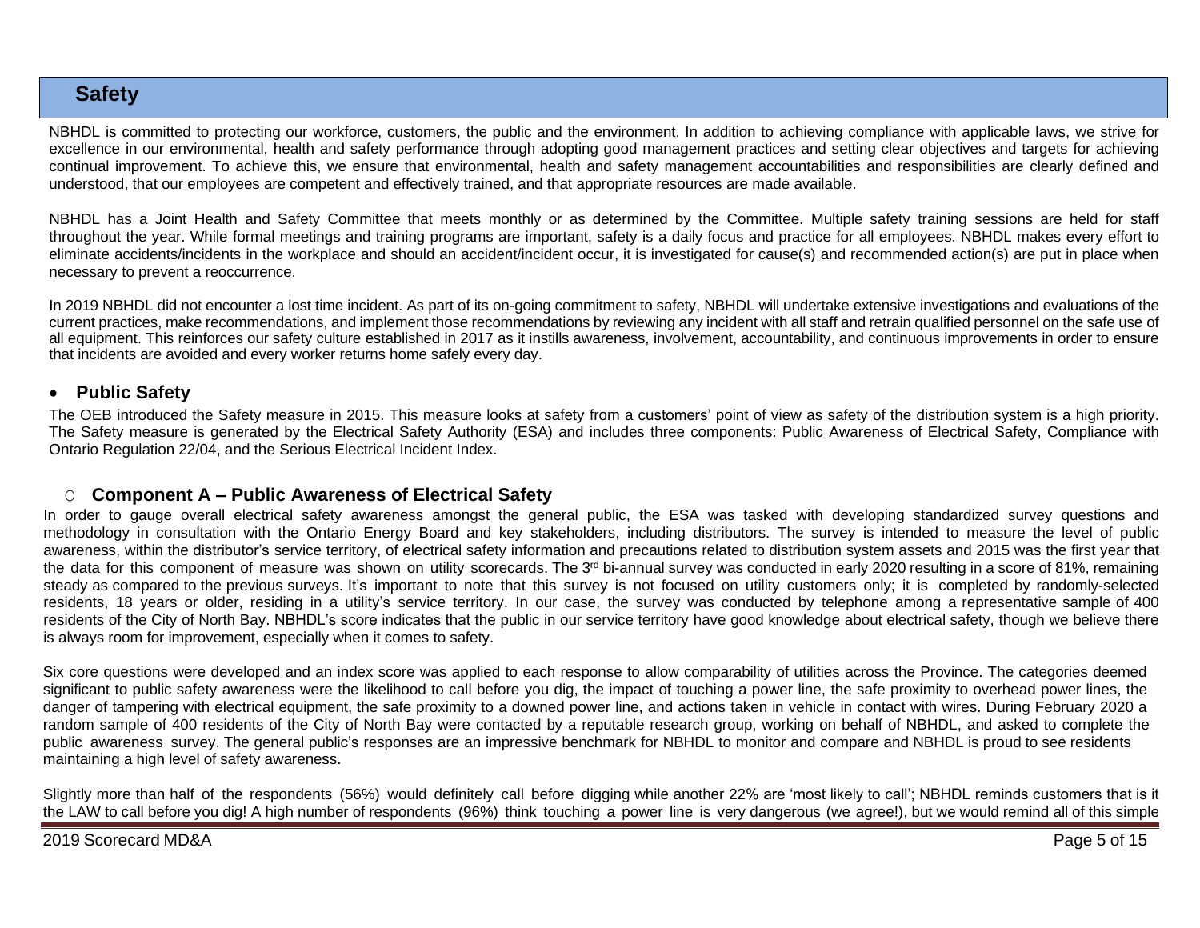# **Safety**

NBHDL is committed to protecting our workforce, customers, the public and the environment. In addition to achieving compliance with applicable laws, we strive for excellence in our environmental, health and safety performance through adopting good management practices and setting clear objectives and targets for achieving continual improvement. To achieve this, we ensure that environmental, health and safety management accountabilities and responsibilities are clearly defined and understood, that our employees are competent and effectively trained, and that appropriate resources are made available.

NBHDL has a Joint Health and Safety Committee that meets monthly or as determined by the Committee. Multiple safety training sessions are held for staff throughout the year. While formal meetings and training programs are important, safety is a daily focus and practice for all employees. NBHDL makes every effort to eliminate accidents/incidents in the workplace and should an accident/incident occur, it is investigated for cause(s) and recommended action(s) are put in place when necessary to prevent a reoccurrence.

In 2019 NBHDL did not encounter a lost time incident. As part of its on-going commitment to safety, NBHDL will undertake extensive investigations and evaluations of the current practices, make recommendations, and implement those recommendations by reviewing any incident with all staff and retrain qualified personnel on the safe use of all equipment. This reinforces our safety culture established in 2017 as it instills awareness, involvement, accountability, and continuous improvements in order to ensure that incidents are avoided and every worker returns home safely every day.

### • **Public Safety**

The OEB introduced the Safety measure in 2015. This measure looks at safety from a customers' point of view as safety of the distribution system is a high priority. The Safety measure is generated by the Electrical Safety Authority (ESA) and includes three components: Public Awareness of Electrical Safety, Compliance with Ontario Regulation 22/04, and the Serious Electrical Incident Index.

## O **Component A – Public Awareness of Electrical Safety**

In order to gauge overall electrical safety awareness amongst the general public, the ESA was tasked with developing standardized survey questions and methodology in consultation with the Ontario Energy Board and key stakeholders, including distributors. The survey is intended to measure the level of public awareness, within the distributor's service territory, of electrical safety information and precautions related to distribution system assets and 2015 was the first year that the data for this component of measure was shown on utility scorecards. The 3<sup>rd</sup> bi-annual survey was conducted in early 2020 resulting in a score of 81%, remaining steady as compared to the previous surveys. It's important to note that this survey is not focused on utility customers only; it is completed by randomly-selected residents, 18 years or older, residing in a utility's service territory. In our case, the survey was conducted by telephone among a representative sample of 400 residents of the City of North Bay. NBHDL's score indicates that the public in our service territory have good knowledge about electrical safety, though we believe there is always room for improvement, especially when it comes to safety.

Six core questions were developed and an index score was applied to each response to allow comparability of utilities across the Province. The categories deemed significant to public safety awareness were the likelihood to call before you dig, the impact of touching a power line, the safe proximity to overhead power lines, the danger of tampering with electrical equipment, the safe proximity to a downed power line, and actions taken in vehicle in contact with wires. During February 2020 a random sample of 400 residents of the City of North Bay were contacted by a reputable research group, working on behalf of NBHDL, and asked to complete the public awareness survey. The general public's responses are an impressive benchmark for NBHDL to monitor and compare and NBHDL is proud to see residents maintaining a high level of safety awareness.

Slightly more than half of the respondents (56%) would definitely call before digging while another 22% are 'most likely to call'; NBHDL reminds customers that is it the LAW to call before you dig! A high number of respondents (96%) think touching a power line is very dangerous (we agree!), but we would remind all of this simple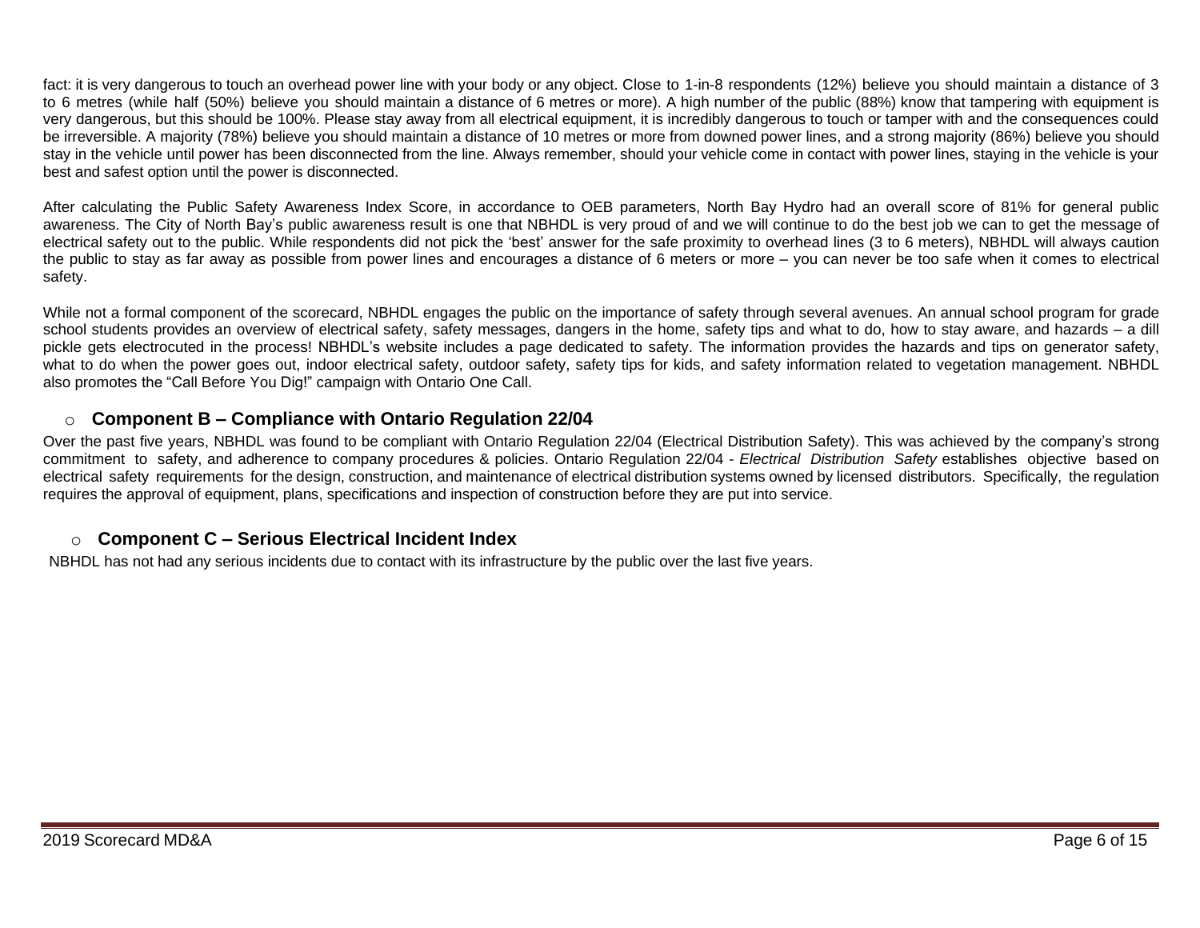fact: it is very dangerous to touch an overhead power line with your body or any object. Close to 1-in-8 respondents (12%) believe you should maintain a distance of 3 to 6 metres (while half (50%) believe you should maintain a distance of 6 metres or more). A high number of the public (88%) know that tampering with equipment is very dangerous, but this should be 100%. Please stay away from all electrical equipment, it is incredibly dangerous to touch or tamper with and the consequences could be irreversible. A majority (78%) believe you should maintain a distance of 10 metres or more from downed power lines, and a strong majority (86%) believe you should stay in the vehicle until power has been disconnected from the line. Always remember, should your vehicle come in contact with power lines, staying in the vehicle is your best and safest option until the power is disconnected.

After calculating the Public Safety Awareness Index Score, in accordance to OEB parameters, North Bay Hydro had an overall score of 81% for general public awareness. The City of North Bay's public awareness result is one that NBHDL is very proud of and we will continue to do the best job we can to get the message of electrical safety out to the public. While respondents did not pick the 'best' answer for the safe proximity to overhead lines (3 to 6 meters), NBHDL will always caution the public to stay as far away as possible from power lines and encourages a distance of 6 meters or more – you can never be too safe when it comes to electrical safety.

While not a formal component of the scorecard, NBHDL engages the public on the importance of safety through several avenues. An annual school program for grade school students provides an overview of electrical safety, safety messages, dangers in the home, safety tips and what to do, how to stay aware, and hazards – a dill pickle gets electrocuted in the process! NBHDL's website includes a page dedicated to safety. The information provides the hazards and tips on generator safety, what to do when the power goes out, indoor electrical safety, outdoor safety, safety tips for kids, and safety information related to vegetation management. NBHDL also promotes the "Call Before You Dig!" campaign with Ontario One Call.

# o **Component B – Compliance with Ontario Regulation 22/04**

Over the past five years, NBHDL was found to be compliant with Ontario Regulation 22/04 (Electrical Distribution Safety). This was achieved by the company's strong commitment to safety, and adherence to company procedures & policies. Ontario Regulation 22/04 - *Electrical Distribution Safety* establishes objective based on electrical safety requirements for the design, construction, and maintenance of electrical distribution systems owned by licensed distributors. Specifically, the regulation requires the approval of equipment, plans, specifications and inspection of construction before they are put into service.

### o **Component C – Serious Electrical Incident Index**

NBHDL has not had any serious incidents due to contact with its infrastructure by the public over the last five years.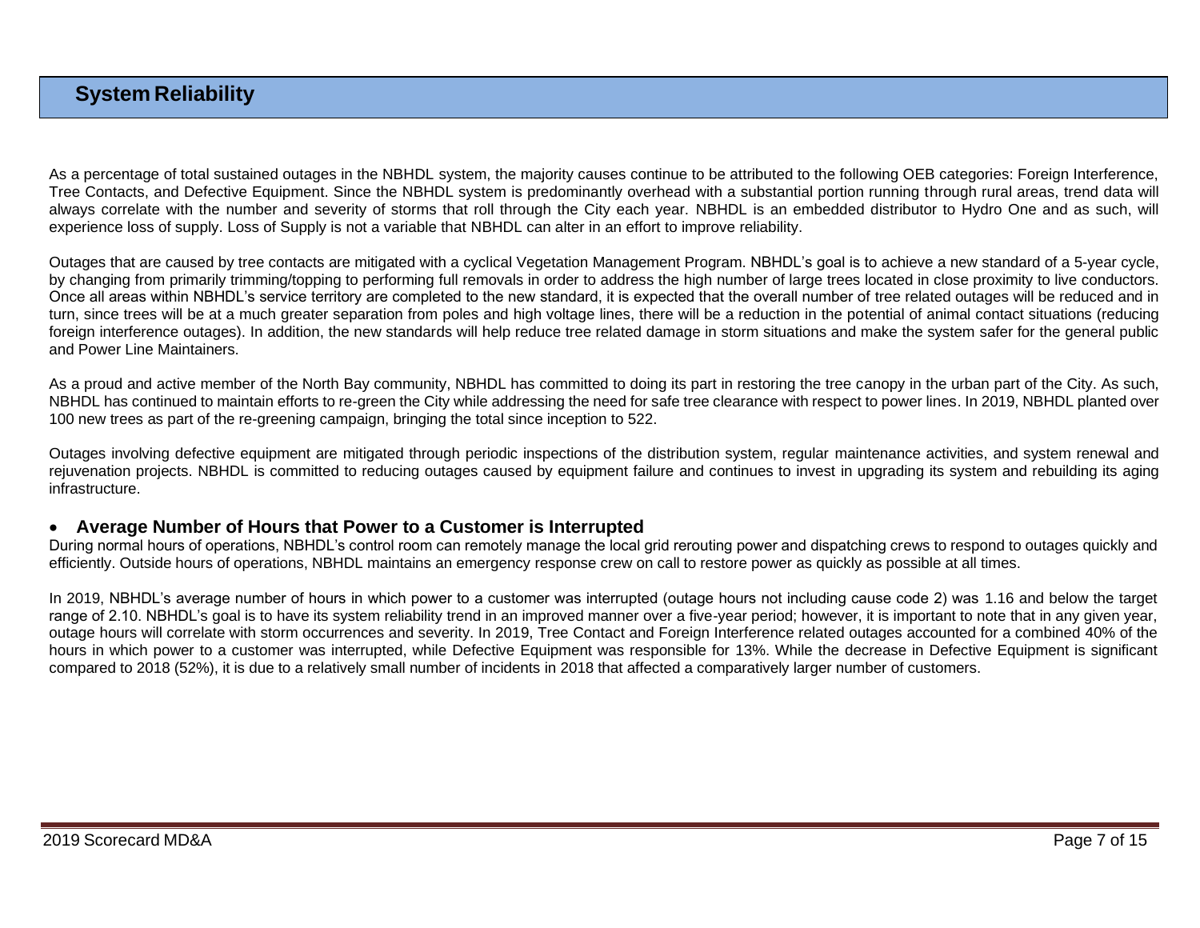# **System Reliability**

As a percentage of total sustained outages in the NBHDL system, the majority causes continue to be attributed to the following OEB categories: Foreign Interference, Tree Contacts, and Defective Equipment. Since the NBHDL system is predominantly overhead with a substantial portion running through rural areas, trend data will always correlate with the number and severity of storms that roll through the City each year. NBHDL is an embedded distributor to Hydro One and as such, will experience loss of supply. Loss of Supply is not a variable that NBHDL can alter in an effort to improve reliability.

Outages that are caused by tree contacts are mitigated with a cyclical Vegetation Management Program. NBHDL's goal is to achieve a new standard of a 5-year cycle, by changing from primarily trimming/topping to performing full removals in order to address the high number of large trees located in close proximity to live conductors. Once all areas within NBHDL's service territory are completed to the new standard, it is expected that the overall number of tree related outages will be reduced and in turn, since trees will be at a much greater separation from poles and high voltage lines, there will be a reduction in the potential of animal contact situations (reducing foreign interference outages). In addition, the new standards will help reduce tree related damage in storm situations and make the system safer for the general public and Power Line Maintainers.

As a proud and active member of the North Bay community, NBHDL has committed to doing its part in restoring the tree canopy in the urban part of the City. As such, NBHDL has continued to maintain efforts to re-green the City while addressing the need for safe tree clearance with respect to power lines. In 2019, NBHDL planted over 100 new trees as part of the re-greening campaign, bringing the total since inception to 522.

Outages involving defective equipment are mitigated through periodic inspections of the distribution system, regular maintenance activities, and system renewal and rejuvenation projects. NBHDL is committed to reducing outages caused by equipment failure and continues to invest in upgrading its system and rebuilding its aging infrastructure.

### • **Average Number of Hours that Power to a Customer is Interrupted**

During normal hours of operations, NBHDL's control room can remotely manage the local grid rerouting power and dispatching crews to respond to outages quickly and efficiently. Outside hours of operations, NBHDL maintains an emergency response crew on call to restore power as quickly as possible at all times.

In 2019, NBHDL's average number of hours in which power to a customer was interrupted (outage hours not including cause code 2) was 1.16 and below the target range of 2.10. NBHDL's goal is to have its system reliability trend in an improved manner over a five-year period; however, it is important to note that in any given year, outage hours will correlate with storm occurrences and severity. In 2019, Tree Contact and Foreign Interference related outages accounted for a combined 40% of the hours in which power to a customer was interrupted, while Defective Equipment was responsible for 13%. While the decrease in Defective Equipment is significant compared to 2018 (52%), it is due to a relatively small number of incidents in 2018 that affected a comparatively larger number of customers.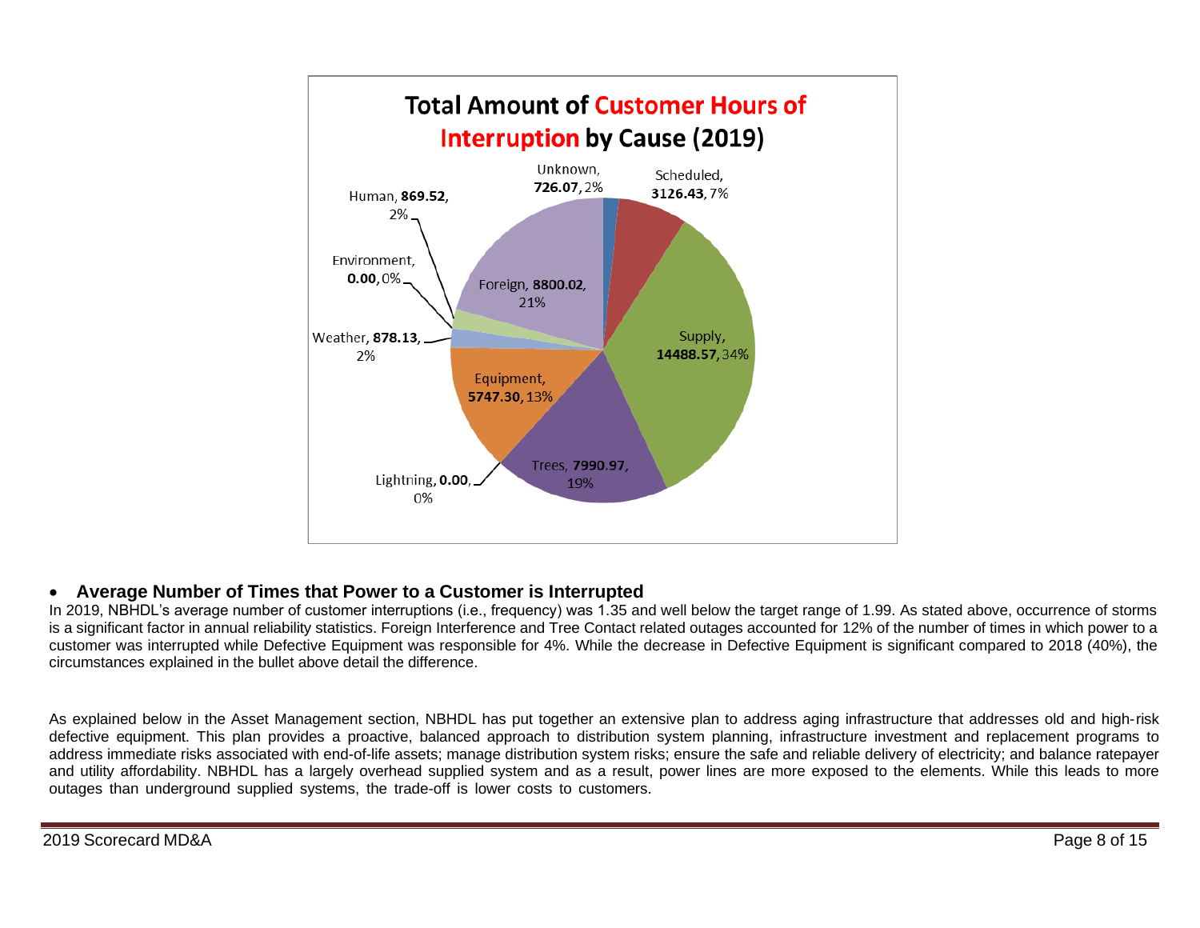

# • **Average Number of Times that Power to a Customer is Interrupted**

In 2019, NBHDL's average number of customer interruptions (i.e., frequency) was 1.35 and well below the target range of 1.99. As stated above, occurrence of storms is a significant factor in annual reliability statistics. Foreign Interference and Tree Contact related outages accounted for 12% of the number of times in which power to a customer was interrupted while Defective Equipment was responsible for 4%. While the decrease in Defective Equipment is significant compared to 2018 (40%), the circumstances explained in the bullet above detail the difference.

As explained below in the Asset Management section, NBHDL has put together an extensive plan to address aging infrastructure that addresses old and high-risk defective equipment. This plan provides a proactive, balanced approach to distribution system planning, infrastructure investment and replacement programs to address immediate risks associated with end-of-life assets; manage distribution system risks; ensure the safe and reliable delivery of electricity; and balance ratepayer and utility affordability. NBHDL has a largely overhead supplied system and as a result, power lines are more exposed to the elements. While this leads to more outages than underground supplied systems, the trade-off is lower costs to customers.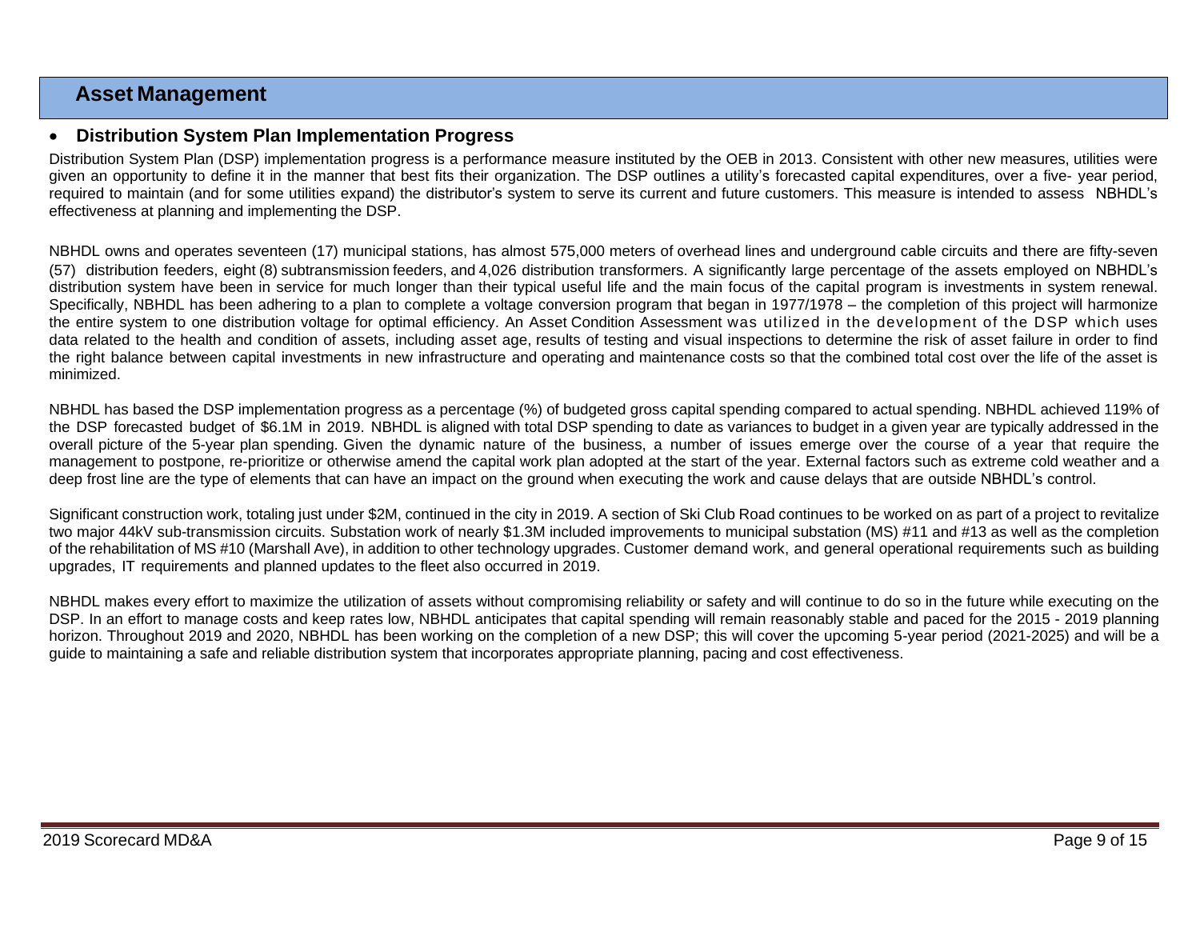# **Asset Management**

## • **Distribution System Plan Implementation Progress**

Distribution System Plan (DSP) implementation progress is a performance measure instituted by the OEB in 2013. Consistent with other new measures, utilities were given an opportunity to define it in the manner that best fits their organization. The DSP outlines a utility's forecasted capital expenditures, over a five- year period, required to maintain (and for some utilities expand) the distributor's system to serve its current and future customers. This measure is intended to assess NBHDL's effectiveness at planning and implementing the DSP.

NBHDL owns and operates seventeen (17) municipal stations, has almost 575,000 meters of overhead lines and underground cable circuits and there are fifty-seven (57) distribution feeders, eight (8) subtransmission feeders, and 4,026 distribution transformers. A significantly large percentage of the assets employed on NBHDL's distribution system have been in service for much longer than their typical useful life and the main focus of the capital program is investments in system renewal. Specifically, NBHDL has been adhering to a plan to complete a voltage conversion program that began in 1977/1978 – the completion of this project will harmonize the entire system to one distribution voltage for optimal efficiency. An Asset Condition Assessment was utilized in the development of the DSP which uses data related to the health and condition of assets, including asset age, results of testing and visual inspections to determine the risk of asset failure in order to find the right balance between capital investments in new infrastructure and operating and maintenance costs so that the combined total cost over the life of the asset is minimized.

NBHDL has based the DSP implementation progress as a percentage (%) of budgeted gross capital spending compared to actual spending. NBHDL achieved 119% of the DSP forecasted budget of \$6.1M in 2019. NBHDL is aligned with total DSP spending to date as variances to budget in a given year are typically addressed in the overall picture of the 5-year plan spending. Given the dynamic nature of the business, a number of issues emerge over the course of a year that require the management to postpone, re-prioritize or otherwise amend the capital work plan adopted at the start of the year. External factors such as extreme cold weather and a deep frost line are the type of elements that can have an impact on the ground when executing the work and cause delays that are outside NBHDL's control.

Significant construction work, totaling just under \$2M, continued in the city in 2019. A section of Ski Club Road continues to be worked on as part of a project to revitalize two major 44kV sub-transmission circuits. Substation work of nearly \$1.3M included improvements to municipal substation (MS) #11 and #13 as well as the completion of the rehabilitation of MS #10 (Marshall Ave), in addition to other technology upgrades. Customer demand work, and general operational requirements such as building upgrades, IT requirements and planned updates to the fleet also occurred in 2019.

NBHDL makes every effort to maximize the utilization of assets without compromising reliability or safety and will continue to do so in the future while executing on the DSP. In an effort to manage costs and keep rates low, NBHDL anticipates that capital spending will remain reasonably stable and paced for the 2015 - 2019 planning horizon. Throughout 2019 and 2020, NBHDL has been working on the completion of a new DSP; this will cover the upcoming 5-year period (2021-2025) and will be a guide to maintaining a safe and reliable distribution system that incorporates appropriate planning, pacing and cost effectiveness.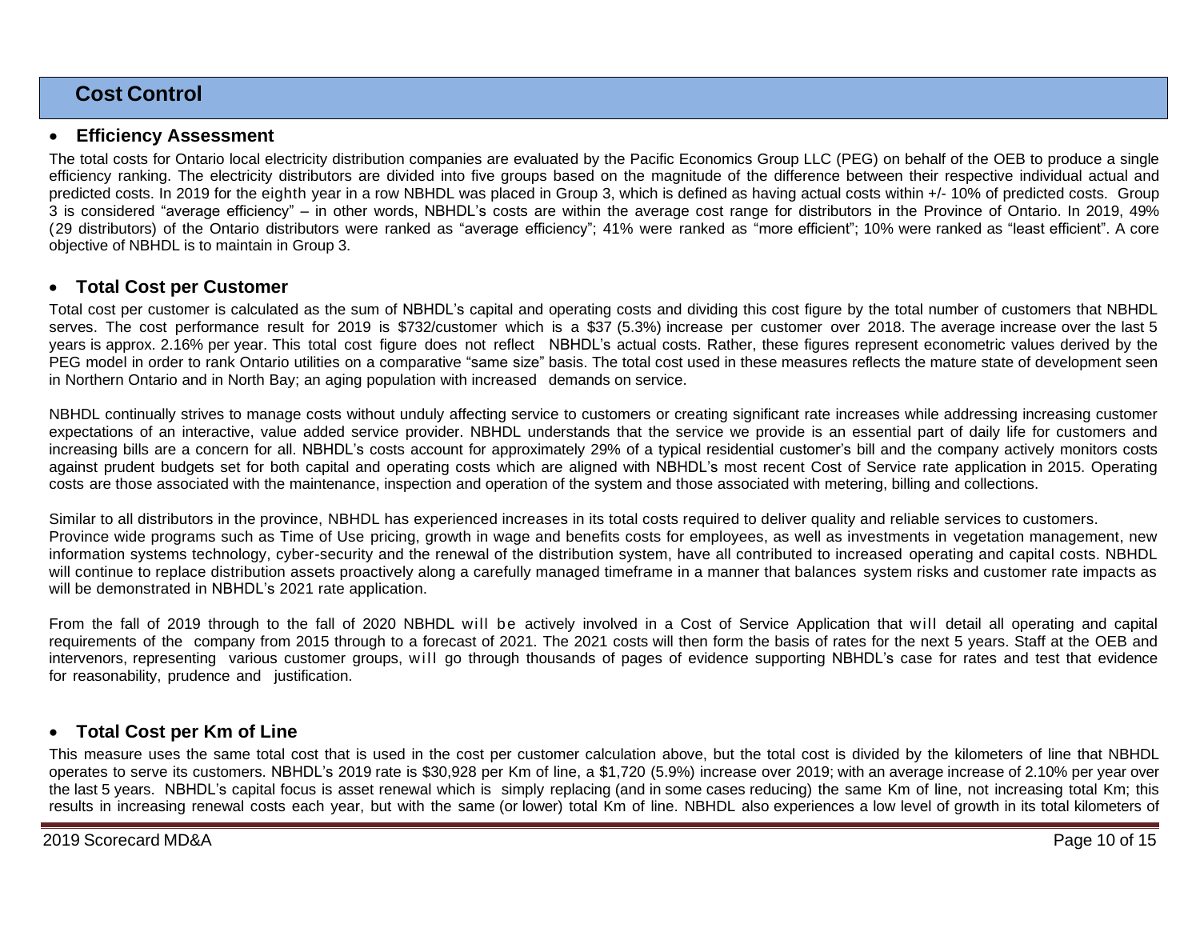# **Cost Control**

### • **Efficiency Assessment**

The total costs for Ontario local electricity distribution companies are evaluated by the Pacific Economics Group LLC (PEG) on behalf of the OEB to produce a single efficiency ranking. The electricity distributors are divided into five groups based on the magnitude of the difference between their respective individual actual and predicted costs. In 2019 for the eighth year in a row NBHDL was placed in Group 3, which is defined as having actual costs within +/- 10% of predicted costs. Group 3 is considered "average efficiency" – in other words, NBHDL's costs are within the average cost range for distributors in the Province of Ontario. In 2019, 49% (29 distributors) of the Ontario distributors were ranked as "average efficiency"; 41% were ranked as "more efficient"; 10% were ranked as "least efficient". A core objective of NBHDL is to maintain in Group 3.

## • **Total Cost per Customer**

Total cost per customer is calculated as the sum of NBHDL's capital and operating costs and dividing this cost figure by the total number of customers that NBHDL serves. The cost performance result for 2019 is \$732/customer which is a \$37 (5.3%) increase per customer over 2018. The average increase over the last 5 years is approx. 2.16% per year. This total cost figure does not reflect NBHDL's actual costs. Rather, these figures represent econometric values derived by the PEG model in order to rank Ontario utilities on a comparative "same size" basis. The total cost used in these measures reflects the mature state of development seen in Northern Ontario and in North Bay; an aging population with increased demands on service.

NBHDL continually strives to manage costs without unduly affecting service to customers or creating significant rate increases while addressing increasing customer expectations of an interactive, value added service provider. NBHDL understands that the service we provide is an essential part of daily life for customers and increasing bills are a concern for all. NBHDL's costs account for approximately 29% of a typical residential customer's bill and the company actively monitors costs against prudent budgets set for both capital and operating costs which are aligned with NBHDL's most recent Cost of Service rate application in 2015. Operating costs are those associated with the maintenance, inspection and operation of the system and those associated with metering, billing and collections.

Similar to all distributors in the province, NBHDL has experienced increases in its total costs required to deliver quality and reliable services to customers. Province wide programs such as Time of Use pricing, growth in wage and benefits costs for employees, as well as investments in vegetation management, new information systems technology, cyber-security and the renewal of the distribution system, have all contributed to increased operating and capital costs. NBHDL will continue to replace distribution assets proactively along a carefully managed timeframe in a manner that balances system risks and customer rate impacts as will be demonstrated in NBHDL's 2021 rate application.

From the fall of 2019 through to the fall of 2020 NBHDL will be actively involved in a Cost of Service Application that will detail all operating and capital requirements of the company from 2015 through to a forecast of 2021. The 2021 costs will then form the basis of rates for the next 5 years. Staff at the OEB and intervenors, representing various customer groups, will go through thousands of pages of evidence supporting NBHDL's case for rates and test that evidence for reasonability, prudence and justification.

## • **Total Cost per Km of Line**

This measure uses the same total cost that is used in the cost per customer calculation above, but the total cost is divided by the kilometers of line that NBHDL operates to serve its customers. NBHDL's 2019 rate is \$30,928 per Km of line, a \$1,720 (5.9%) increase over 2019; with an average increase of 2.10% per year over the last 5 years. NBHDL's capital focus is asset renewal which is simply replacing (and in some cases reducing) the same Km of line, not increasing total Km; this results in increasing renewal costs each year, but with the same (or lower) total Km of line. NBHDL also experiences a low level of growth in its total kilometers of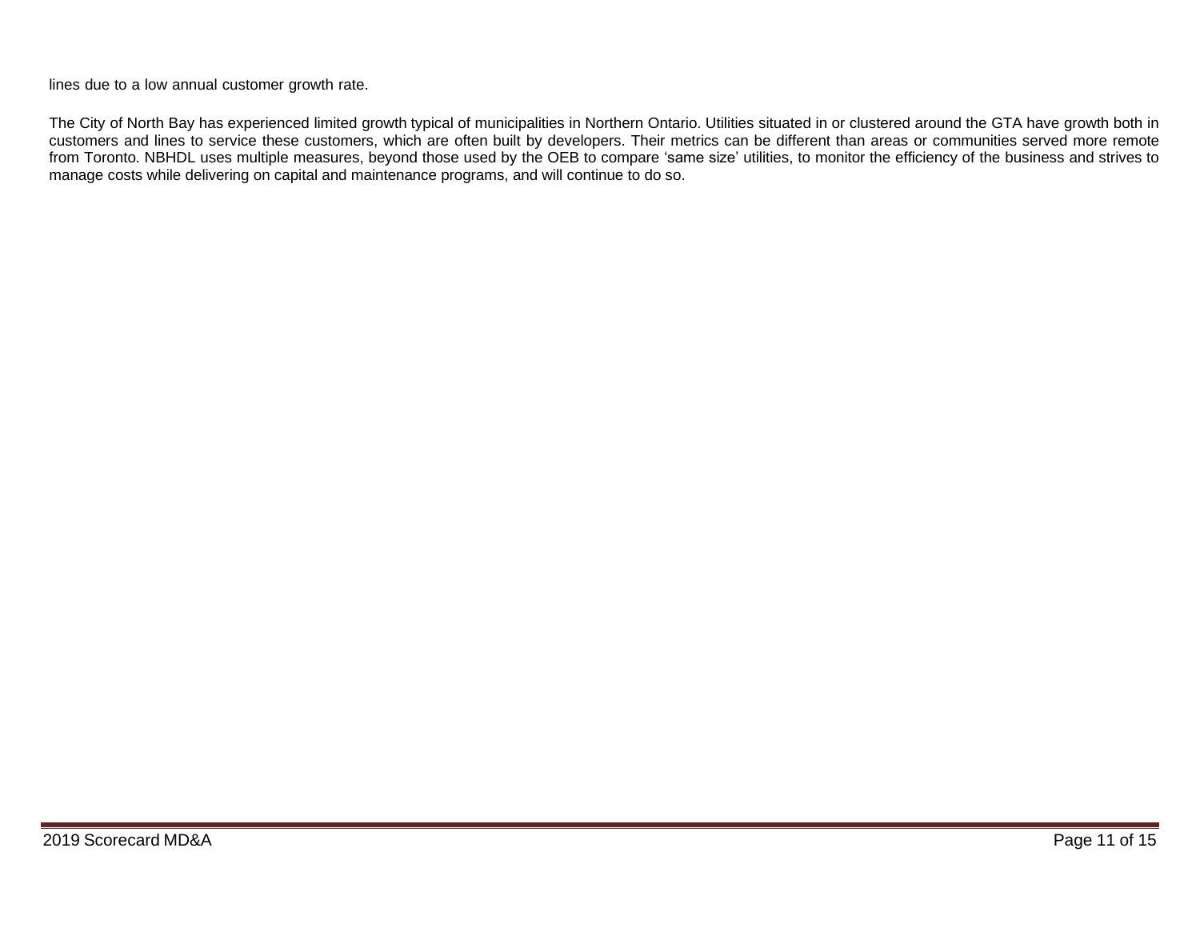lines due to a low annual customer growth rate.

The City of North Bay has experienced limited growth typical of municipalities in Northern Ontario. Utilities situated in or clustered around the GTA have growth both in customers and lines to service these customers, which are often built by developers. Their metrics can be different than areas or communities served more remote from Toronto. NBHDL uses multiple measures, beyond those used by the OEB to compare 'same size' utilities, to monitor the efficiency of the business and strives to manage costs while delivering on capital and maintenance programs, and will continue to do so.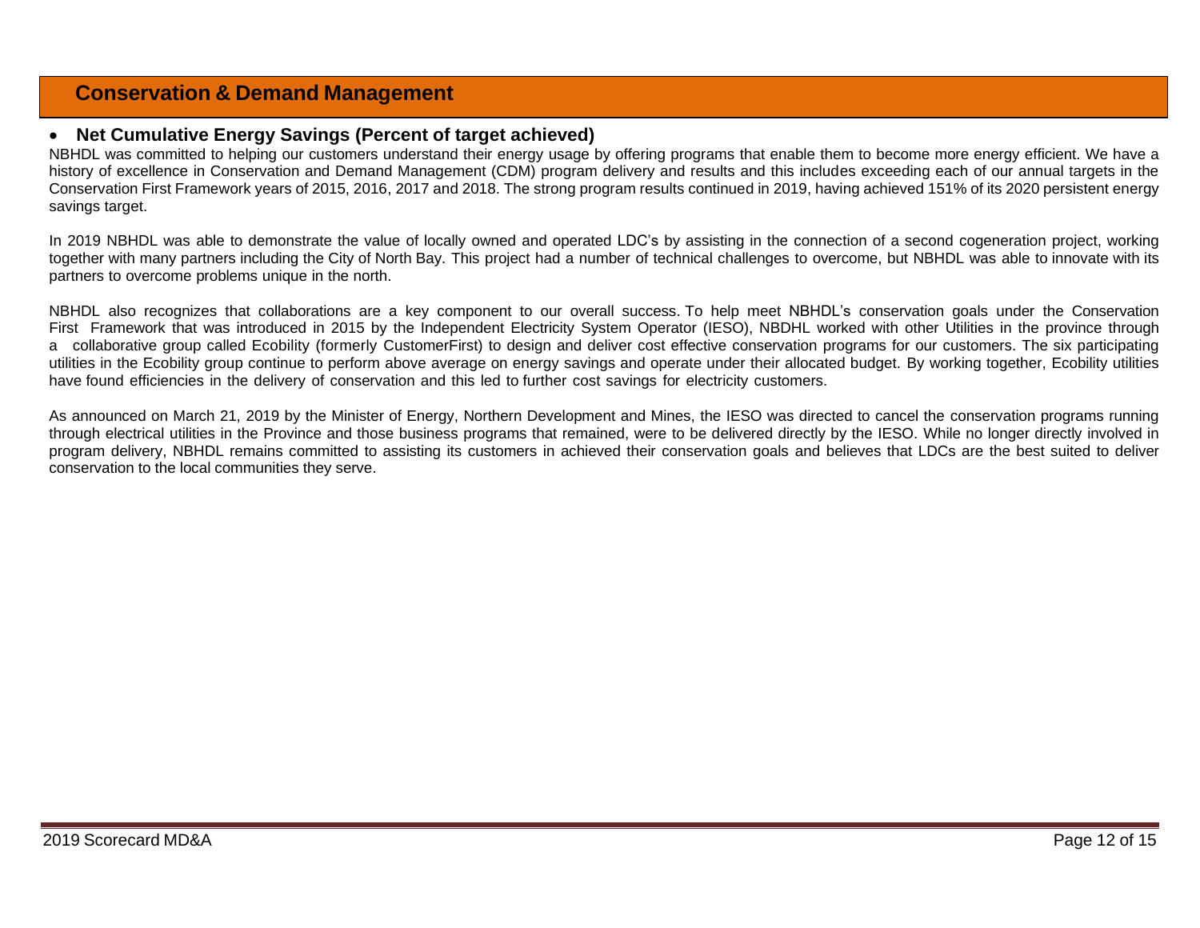# **Conservation & Demand Management**

#### • **Net Cumulative Energy Savings (Percent of target achieved)**

NBHDL was committed to helping our customers understand their energy usage by offering programs that enable them to become more energy efficient. We have a history of excellence in Conservation and Demand Management (CDM) program delivery and results and this includes exceeding each of our annual targets in the Conservation First Framework years of 2015, 2016, 2017 and 2018. The strong program results continued in 2019, having achieved 151% of its 2020 persistent energy savings target.

In 2019 NBHDL was able to demonstrate the value of locally owned and operated LDC's by assisting in the connection of a second cogeneration project, working together with many partners including the City of North Bay. This project had a number of technical challenges to overcome, but NBHDL was able to innovate with its partners to overcome problems unique in the north.

NBHDL also recognizes that collaborations are a key component to our overall success. To help meet NBHDL's conservation goals under the Conservation First Framework that was introduced in 2015 by the Independent Electricity System Operator (IESO), NBDHL worked with other Utilities in the province through a collaborative group called Ecobility (formerly CustomerFirst) to design and deliver cost effective conservation programs for our customers. The six participating utilities in the Ecobility group continue to perform above average on energy savings and operate under their allocated budget. By working together, Ecobility utilities have found efficiencies in the delivery of conservation and this led to further cost savings for electricity customers.

As announced on March 21, 2019 by the Minister of Energy, Northern Development and Mines, the IESO was directed to cancel the conservation programs running through electrical utilities in the Province and those business programs that remained, were to be delivered directly by the IESO. While no longer directly involved in program delivery, NBHDL remains committed to assisting its customers in achieved their conservation goals and believes that LDCs are the best suited to deliver conservation to the local communities they serve.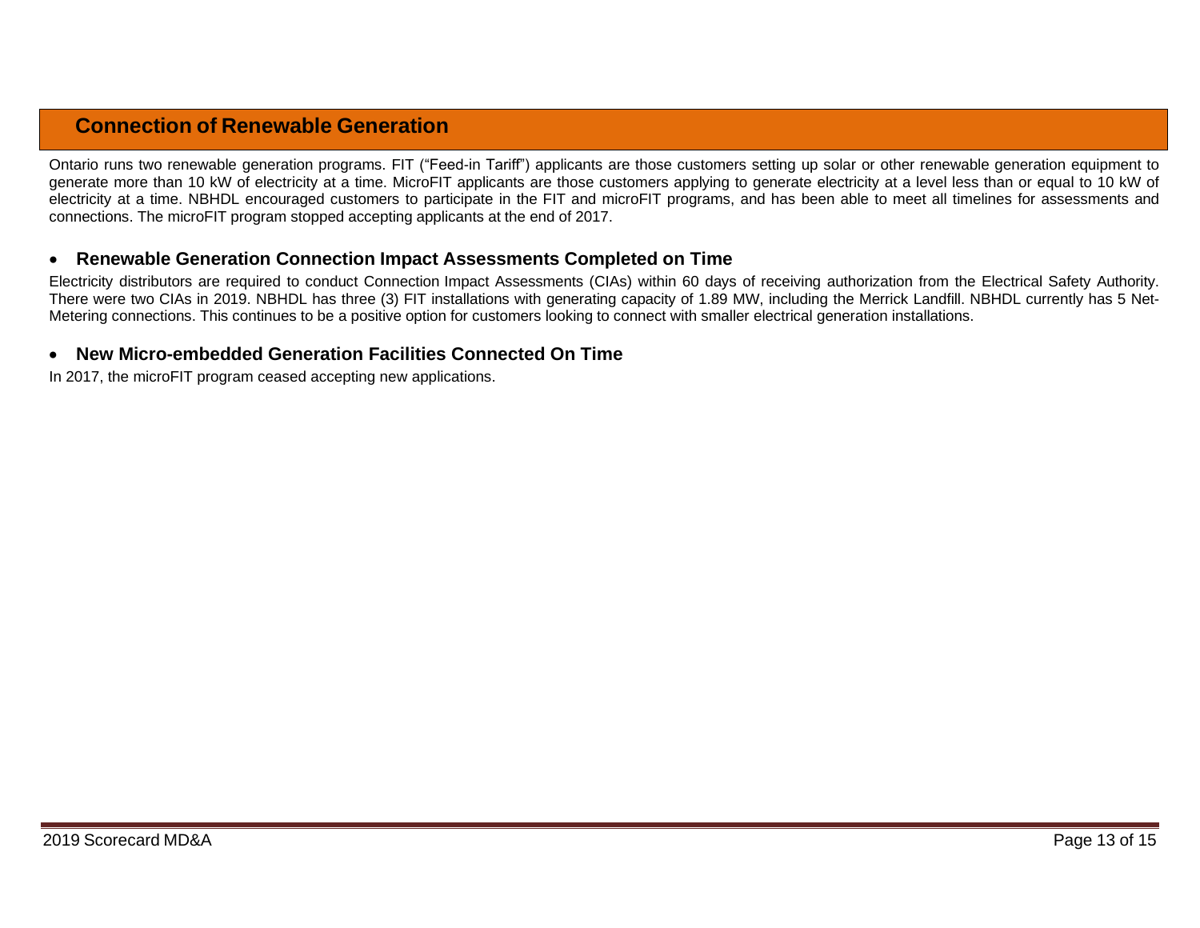# **Connection of Renewable Generation**

Ontario runs two renewable generation programs. FIT ("Feed-in Tariff") applicants are those customers setting up solar or other renewable generation equipment to generate more than 10 kW of electricity at a time. MicroFIT applicants are those customers applying to generate electricity at a level less than or equal to 10 kW of electricity at a time. NBHDL encouraged customers to participate in the FIT and microFIT programs, and has been able to meet all timelines for assessments and connections. The microFIT program stopped accepting applicants at the end of 2017.

### • **Renewable Generation Connection Impact Assessments Completed on Time**

Electricity distributors are required to conduct Connection Impact Assessments (CIAs) within 60 days of receiving authorization from the Electrical Safety Authority. There were two CIAs in 2019. NBHDL has three (3) FIT installations with generating capacity of 1.89 MW, including the Merrick Landfill. NBHDL currently has 5 Net-Metering connections. This continues to be a positive option for customers looking to connect with smaller electrical generation installations.

# • **New Micro-embedded Generation Facilities Connected On Time**

In 2017, the microFIT program ceased accepting new applications.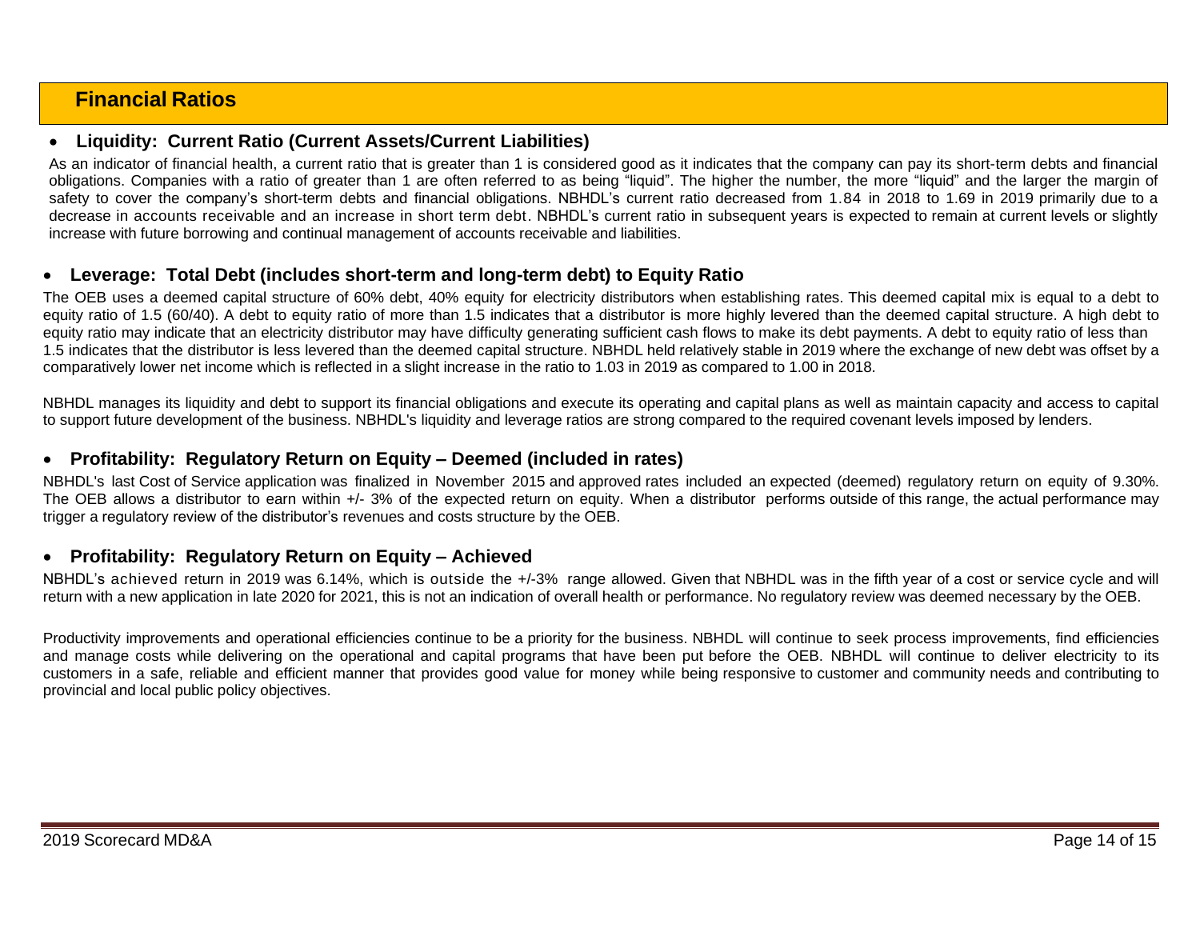# **Financial Ratios**

## • **Liquidity: Current Ratio (Current Assets/Current Liabilities)**

As an indicator of financial health, a current ratio that is greater than 1 is considered good as it indicates that the company can pay its short-term debts and financial obligations. Companies with a ratio of greater than 1 are often referred to as being "liquid". The higher the number, the more "liquid" and the larger the margin of safety to cover the company's short-term debts and financial obligations. NBHDL's current ratio decreased from 1.84 in 2018 to 1.69 in 2019 primarily due to a decrease in accounts receivable and an increase in short term debt. NBHDL's current ratio in subsequent years is expected to remain at current levels or slightly increase with future borrowing and continual management of accounts receivable and liabilities.

## • **Leverage: Total Debt (includes short-term and long-term debt) to Equity Ratio**

The OEB uses a deemed capital structure of 60% debt, 40% equity for electricity distributors when establishing rates. This deemed capital mix is equal to a debt to equity ratio of 1.5 (60/40). A debt to equity ratio of more than 1.5 indicates that a distributor is more highly levered than the deemed capital structure. A high debt to equity ratio may indicate that an electricity distributor may have difficulty generating sufficient cash flows to make its debt payments. A debt to equity ratio of less than 1.5 indicates that the distributor is less levered than the deemed capital structure. NBHDL held relatively stable in 2019 where the exchange of new debt was offset by a comparatively lower net income which is reflected in a slight increase in the ratio to 1.03 in 2019 as compared to 1.00 in 2018.

NBHDL manages its liquidity and debt to support its financial obligations and execute its operating and capital plans as well as maintain capacity and access to capital to support future development of the business. NBHDL's liquidity and leverage ratios are strong compared to the required covenant levels imposed by lenders.

### • **Profitability: Regulatory Return on Equity – Deemed (included in rates)**

NBHDL's last Cost of Service application was finalized in November 2015 and approved rates included an expected (deemed) regulatory return on equity of 9.30%. The OEB allows a distributor to earn within +/- 3% of the expected return on equity. When a distributor performs outside of this range, the actual performance may trigger a regulatory review of the distributor's revenues and costs structure by the OEB.

### • **Profitability: Regulatory Return on Equity – Achieved**

NBHDL's achieved return in 2019 was 6.14%, which is outside the +/-3% range allowed. Given that NBHDL was in the fifth year of a cost or service cycle and will return with a new application in late 2020 for 2021, this is not an indication of overall health or performance. No regulatory review was deemed necessary by the OEB.

Productivity improvements and operational efficiencies continue to be a priority for the business. NBHDL will continue to seek process improvements, find efficiencies and manage costs while delivering on the operational and capital programs that have been put before the OEB. NBHDL will continue to deliver electricity to its customers in a safe, reliable and efficient manner that provides good value for money while being responsive to customer and community needs and contributing to provincial and local public policy objectives.